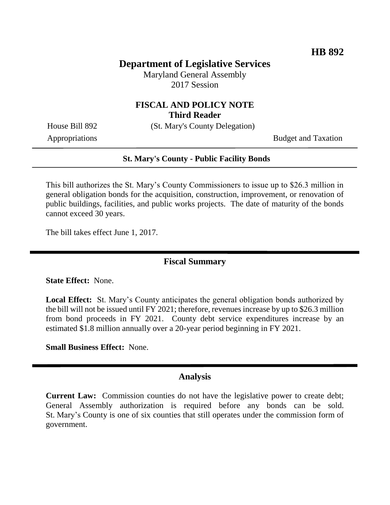## **Department of Legislative Services**

Maryland General Assembly 2017 Session

### **FISCAL AND POLICY NOTE Third Reader**

House Bill 892 (St. Mary's County Delegation)

Appropriations Budget and Taxation

#### **St. Mary's County - Public Facility Bonds**

This bill authorizes the St. Mary's County Commissioners to issue up to \$26.3 million in general obligation bonds for the acquisition, construction, improvement, or renovation of public buildings, facilities, and public works projects. The date of maturity of the bonds cannot exceed 30 years.

The bill takes effect June 1, 2017.

### **Fiscal Summary**

**State Effect:** None.

**Local Effect:** St. Mary's County anticipates the general obligation bonds authorized by the bill will not be issued until FY 2021; therefore, revenues increase by up to \$26.3 million from bond proceeds in FY 2021. County debt service expenditures increase by an estimated \$1.8 million annually over a 20-year period beginning in FY 2021.

**Small Business Effect:** None.

#### **Analysis**

**Current Law:** Commission counties do not have the legislative power to create debt; General Assembly authorization is required before any bonds can be sold. St. Mary's County is one of six counties that still operates under the commission form of government.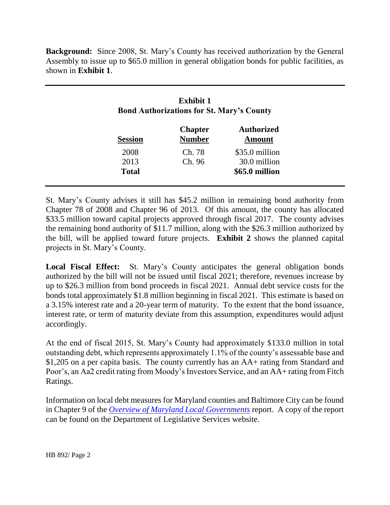**Background:** Since 2008, St. Mary's County has received authorization by the General Assembly to issue up to \$65.0 million in general obligation bonds for public facilities, as shown in **Exhibit 1**.

| <b>Exhibit 1</b><br><b>Bond Authorizations for St. Mary's County</b> |                                 |                             |
|----------------------------------------------------------------------|---------------------------------|-----------------------------|
| <b>Session</b>                                                       | <b>Chapter</b><br><b>Number</b> | <b>Authorized</b><br>Amount |
| 2008                                                                 | Ch. 78                          | \$35.0 million              |
| 2013                                                                 | Ch. 96                          | 30.0 million                |
| <b>Total</b>                                                         |                                 | \$65.0 million              |

St. Mary's County advises it still has \$45.2 million in remaining bond authority from Chapter 78 of 2008 and Chapter 96 of 2013. Of this amount, the county has allocated \$33.5 million toward capital projects approved through fiscal 2017. The county advises the remaining bond authority of \$11.7 million, along with the \$26.3 million authorized by the bill, will be applied toward future projects. **Exhibit 2** shows the planned capital projects in St. Mary's County.

**Local Fiscal Effect:** St. Mary's County anticipates the general obligation bonds authorized by the bill will not be issued until fiscal 2021; therefore, revenues increase by up to \$26.3 million from bond proceeds in fiscal 2021. Annual debt service costs for the bonds total approximately \$1.8 million beginning in fiscal 2021. This estimate is based on a 3.15% interest rate and a 20-year term of maturity. To the extent that the bond issuance, interest rate, or term of maturity deviate from this assumption, expenditures would adjust accordingly.

At the end of fiscal 2015, St. Mary's County had approximately \$133.0 million in total outstanding debt, which represents approximately 1.1% of the county's assessable base and \$1,205 on a per capita basis. The county currently has an AA+ rating from Standard and Poor's, an Aa2 credit rating from Moody's Investors Service, and an AA+ rating from Fitch Ratings.

Information on local debt measures for Maryland counties and Baltimore City can be found in Chapter 9 of the *[Overview of Maryland Local Governments](http://dls.state.md.us/data/polanasubare/polanasubare_intmatnpubadm/polanasubare_intmatnpubadm_annrep/2017---Overview-of-Maryland-Local-Governments---Finances-and-Demographic-Information.pdf)* report. A copy of the report can be found on the Department of Legislative Services website.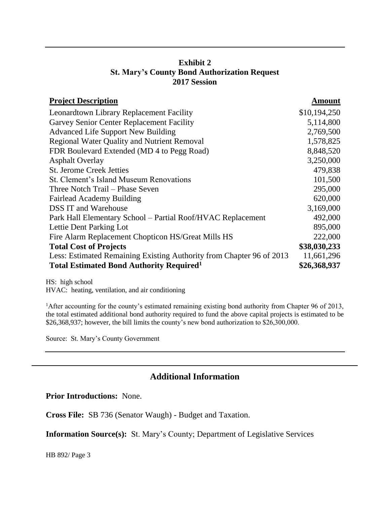# **Exhibit 2 St. Mary's County Bond Authorization Request 2017 Session**

| <b>Project Description</b>                                           | <b>Amount</b> |
|----------------------------------------------------------------------|---------------|
| Leonardtown Library Replacement Facility                             | \$10,194,250  |
| Garvey Senior Center Replacement Facility                            | 5,114,800     |
| <b>Advanced Life Support New Building</b>                            | 2,769,500     |
| <b>Regional Water Quality and Nutrient Removal</b>                   | 1,578,825     |
| FDR Boulevard Extended (MD 4 to Pegg Road)                           | 8,848,520     |
| <b>Asphalt Overlay</b>                                               | 3,250,000     |
| <b>St. Jerome Creek Jetties</b>                                      | 479,838       |
| St. Clement's Island Museum Renovations                              | 101,500       |
| Three Notch Trail – Phase Seven                                      | 295,000       |
| <b>Fairlead Academy Building</b>                                     | 620,000       |
| <b>DSS IT and Warehouse</b>                                          | 3,169,000     |
| Park Hall Elementary School – Partial Roof/HVAC Replacement          | 492,000       |
| Lettie Dent Parking Lot                                              | 895,000       |
| Fire Alarm Replacement Chopticon HS/Great Mills HS                   | 222,000       |
| <b>Total Cost of Projects</b>                                        | \$38,030,233  |
| Less: Estimated Remaining Existing Authority from Chapter 96 of 2013 | 11,661,296    |
| <b>Total Estimated Bond Authority Required</b> <sup>1</sup>          | \$26,368,937  |

HS: high school HVAC: heating, ventilation, and air conditioning

<sup>1</sup>After accounting for the county's estimated remaining existing bond authority from Chapter 96 of 2013, the total estimated additional bond authority required to fund the above capital projects is estimated to be \$26,368,937; however, the bill limits the county's new bond authorization to \$26,300,000.

Source: St. Mary's County Government

# **Additional Information**

### **Prior Introductions:** None.

**Cross File:** SB 736 (Senator Waugh) - Budget and Taxation.

**Information Source(s):** St. Mary's County; Department of Legislative Services

HB 892/ Page 3